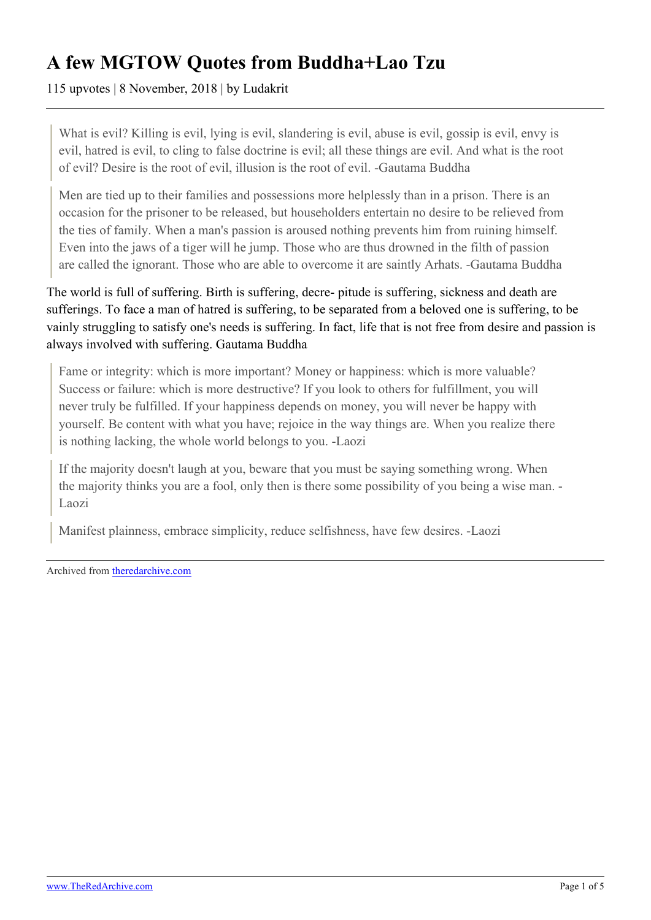## **A few MGTOW Quotes from Buddha+Lao Tzu**

115 upvotes | 8 November, 2018 | by Ludakrit

What is evil? Killing is evil, lying is evil, slandering is evil, abuse is evil, gossip is evil, envy is evil, hatred is evil, to cling to false doctrine is evil; all these things are evil. And what is the root of evil? Desire is the root of evil, illusion is the root of evil. -Gautama Buddha

Men are tied up to their families and possessions more helplessly than in a prison. There is an occasion for the prisoner to be released, but householders entertain no desire to be relieved from the ties of family. When a man's passion is aroused nothing prevents him from ruining himself. Even into the jaws of a tiger will he jump. Those who are thus drowned in the filth of passion are called the ignorant. Those who are able to overcome it are saintly Arhats. -Gautama Buddha

The world is full of suffering. Birth is suffering, decre- pitude is suffering, sickness and death are sufferings. To face a man of hatred is suffering, to be separated from a beloved one is suffering, to be vainly struggling to satisfy one's needs is suffering. In fact, life that is not free from desire and passion is always involved with suffering. Gautama Buddha

Fame or integrity: which is more important? Money or happiness: which is more valuable? Success or failure: which is more destructive? If you look to others for fulfillment, you will never truly be fulfilled. If your happiness depends on money, you will never be happy with yourself. Be content with what you have; rejoice in the way things are. When you realize there is nothing lacking, the whole world belongs to you. -Laozi

If the majority doesn't laugh at you, beware that you must be saying something wrong. When the majority thinks you are a fool, only then is there some possibility of you being a wise man. - Laozi

Manifest plainness, embrace simplicity, reduce selfishness, have few desires. -Laozi

Archived from [theredarchive.com](https://theredarchive.com/r/MGTOW/a-few-mgtow-quotes-from-buddhalao-tzu.463025)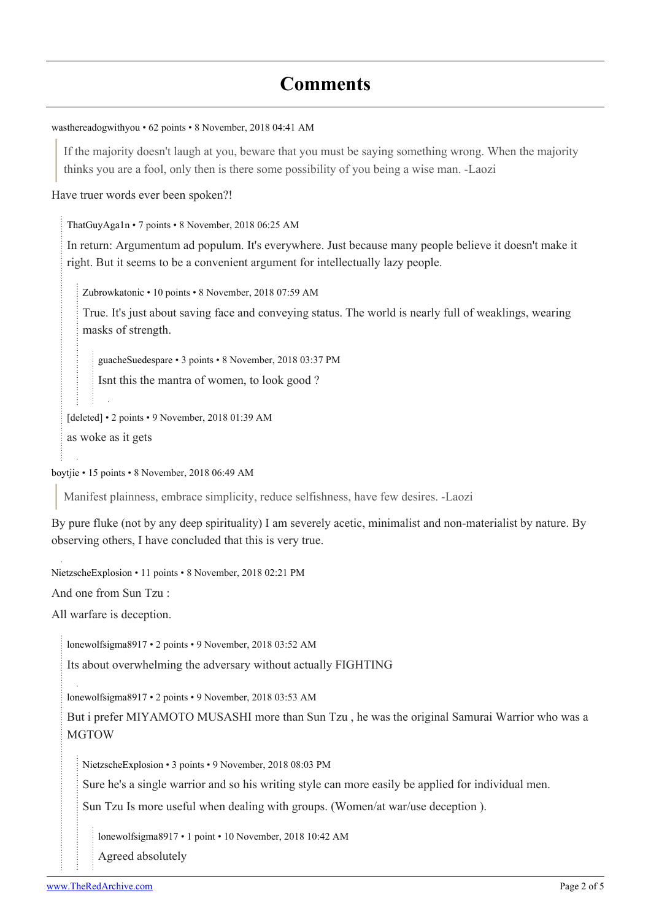## **Comments**

```
wasthereadogwithyou • 62 points • 8 November, 2018 04:41 AM
```
If the majority doesn't laugh at you, beware that you must be saying something wrong. When the majority thinks you are a fool, only then is there some possibility of you being a wise man. -Laozi

Have truer words ever been spoken?!

[ThatGuyAga1n](https://old.reddit.com/user/ThatGuyAga1n) • 7 points • 8 November, 2018 06:25 AM

In return: Argumentum ad populum. It's everywhere. Just because many people believe it doesn't make it right. But it seems to be a convenient argument for intellectually lazy people.

[Zubrowkatonic](https://old.reddit.com/user/Zubrowkatonic) • 10 points • 8 November, 2018 07:59 AM

True. It's just about saving face and conveying status. The world is nearly full of weaklings, wearing masks of strength.

[guacheSuedespare](https://old.reddit.com/user/guacheSuedespare) • 3 points • 8 November, 2018 03:37 PM

Isnt this the mantra of women, to look good ?

[deleted] • 2 points • 9 November, 2018 01:39 AM as woke as it gets

[boytjie](https://old.reddit.com/user/boytjie) • 15 points • 8 November, 2018 06:49 AM

Manifest plainness, embrace simplicity, reduce selfishness, have few desires. -Laozi

By pure fluke (not by any deep spirituality) I am severely acetic, minimalist and non-materialist by nature. By observing others, I have concluded that this is very true.

[NietzscheExplosion](https://old.reddit.com/user/NietzscheExplosion) • 11 points • 8 November, 2018 02:21 PM

And one from Sun Tzu :

All warfare is deception.

[lonewolfsigma8917](https://old.reddit.com/user/lonewolfsigma8917) • 2 points • 9 November, 2018 03:52 AM

Its about overwhelming the adversary without actually FIGHTING

[lonewolfsigma8917](https://old.reddit.com/user/lonewolfsigma8917) • 2 points • 9 November, 2018 03:53 AM

But i prefer MIYAMOTO MUSASHI more than Sun Tzu , he was the original Samurai Warrior who was a **MGTOW** 

[NietzscheExplosion](https://old.reddit.com/user/NietzscheExplosion) • 3 points • 9 November, 2018 08:03 PM

Sure he's a single warrior and so his writing style can more easily be applied for individual men.

Sun Tzu Is more useful when dealing with groups. (Women/at war/use deception ).

[lonewolfsigma8917](https://old.reddit.com/user/lonewolfsigma8917) • 1 point • 10 November, 2018 10:42 AM

Agreed absolutely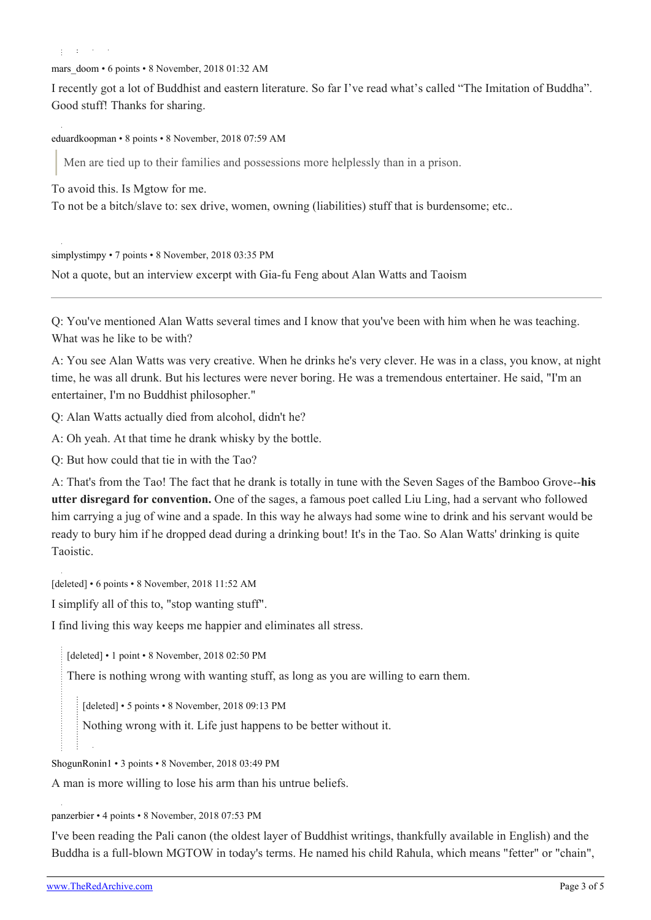ŧ. opened to the

mars doom • 6 points • 8 November, 2018 01:32 AM

I recently got a lot of Buddhist and eastern literature. So far I've read what's called "The Imitation of Buddha". Good stuff! Thanks for sharing.

[eduardkoopman](https://old.reddit.com/user/eduardkoopman) • 8 points • 8 November, 2018 07:59 AM

Men are tied up to their families and possessions more helplessly than in a prison.

To avoid this. Is Mgtow for me.

To not be a bitch/slave to: sex drive, women, owning (liabilities) stuff that is burdensome; etc..

[simplystimpy](https://old.reddit.com/user/simplystimpy) • 7 points • 8 November, 2018 03:35 PM

Not a quote, but an interview excerpt with Gia-fu Feng about Alan Watts and Taoism

Q: You've mentioned Alan Watts several times and I know that you've been with him when he was teaching. What was he like to be with?

A: You see Alan Watts was very creative. When he drinks he's very clever. He was in a class, you know, at night time, he was all drunk. But his lectures were never boring. He was a tremendous entertainer. He said, "I'm an entertainer, I'm no Buddhist philosopher."

Q: Alan Watts actually died from alcohol, didn't he?

A: Oh yeah. At that time he drank whisky by the bottle.

Q: But how could that tie in with the Tao?

A: That's from the Tao! The fact that he drank is totally in tune with the Seven Sages of the Bamboo Grove--**his utter disregard for convention.** One of the sages, a famous poet called Liu Ling, had a servant who followed him carrying a jug of wine and a spade. In this way he always had some wine to drink and his servant would be ready to bury him if he dropped dead during a drinking bout! It's in the Tao. So Alan Watts' drinking is quite Taoistic.

[deleted] • 6 points • 8 November, 2018 11:52 AM

I simplify all of this to, "stop wanting stuff".

I find living this way keeps me happier and eliminates all stress.

[deleted] • 1 point • 8 November, 2018 02:50 PM

There is nothing wrong with wanting stuff, as long as you are willing to earn them.

[deleted] • 5 points • 8 November, 2018 09:13 PM

Nothing wrong with it. Life just happens to be better without it.

[ShogunRonin1](https://old.reddit.com/user/ShogunRonin1) • 3 points • 8 November, 2018 03:49 PM

A man is more willing to lose his arm than his untrue beliefs.

[panzerbier](https://old.reddit.com/user/panzerbier) • 4 points • 8 November, 2018 07:53 PM

I've been reading the Pali canon (the oldest layer of Buddhist writings, thankfully available in English) and the Buddha is a full-blown MGTOW in today's terms. He named his child Rahula, which means "fetter" or "chain",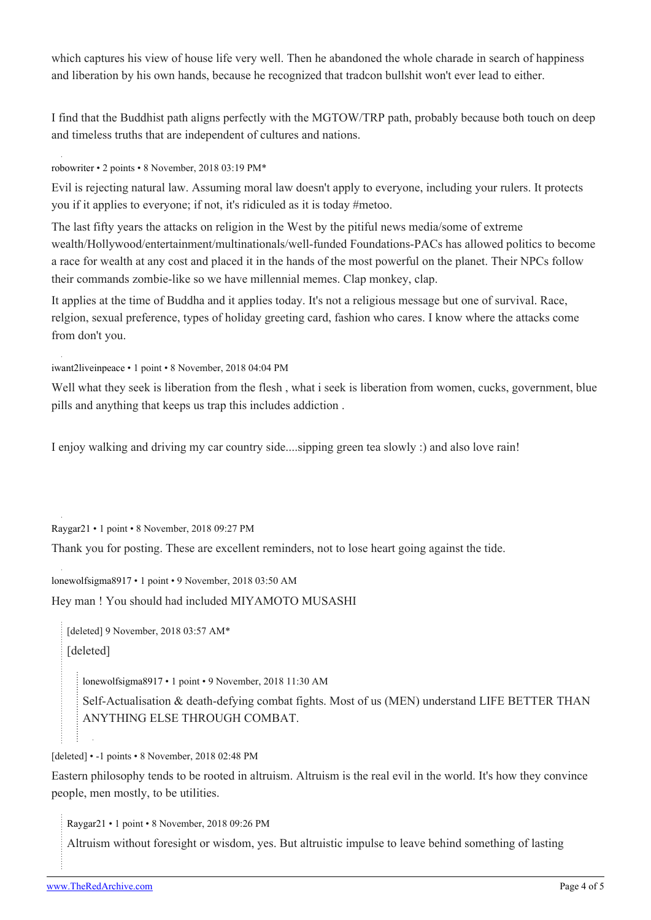which captures his view of house life very well. Then he abandoned the whole charade in search of happiness and liberation by his own hands, because he recognized that tradcon bullshit won't ever lead to either.

I find that the Buddhist path aligns perfectly with the MGTOW/TRP path, probably because both touch on deep and timeless truths that are independent of cultures and nations.

[robowriter](https://old.reddit.com/user/robowriter) • 2 points • 8 November, 2018 03:19 PM\*

Evil is rejecting natural law. Assuming moral law doesn't apply to everyone, including your rulers. It protects you if it applies to everyone; if not, it's ridiculed as it is today #metoo.

The last fifty years the attacks on religion in the West by the pitiful news media/some of extreme wealth/Hollywood/entertainment/multinationals/well-funded Foundations-PACs has allowed politics to become a race for wealth at any cost and placed it in the hands of the most powerful on the planet. Their NPCs follow their commands zombie-like so we have millennial memes. Clap monkey, clap.

It applies at the time of Buddha and it applies today. It's not a religious message but one of survival. Race, relgion, sexual preference, types of holiday greeting card, fashion who cares. I know where the attacks come from don't you.

[iwant2liveinpeace](https://old.reddit.com/user/iwant2liveinpeace) • 1 point • 8 November, 2018 04:04 PM

Well what they seek is liberation from the flesh , what i seek is liberation from women, cucks, government, blue pills and anything that keeps us trap this includes addiction .

I enjoy walking and driving my car country side....sipping green tea slowly :) and also love rain!

[Raygar21](https://old.reddit.com/user/Raygar21) • 1 point • 8 November, 2018 09:27 PM

Thank you for posting. These are excellent reminders, not to lose heart going against the tide.

[lonewolfsigma8917](https://old.reddit.com/user/lonewolfsigma8917) • 1 point • 9 November, 2018 03:50 AM

Hey man ! You should had included MIYAMOTO MUSASHI

[deleted] 9 November, 2018 03:57 AM\* [deleted]

[lonewolfsigma8917](https://old.reddit.com/user/lonewolfsigma8917) • 1 point • 9 November, 2018 11:30 AM

Self-Actualisation & death-defying combat fights. Most of us (MEN) understand LIFE BETTER THAN ANYTHING ELSE THROUGH COMBAT.

[deleted] • -1 points • 8 November, 2018 02:48 PM

Eastern philosophy tends to be rooted in altruism. Altruism is the real evil in the world. It's how they convince people, men mostly, to be utilities.

[Raygar21](https://old.reddit.com/user/Raygar21) • 1 point • 8 November, 2018 09:26 PM

Altruism without foresight or wisdom, yes. But altruistic impulse to leave behind something of lasting